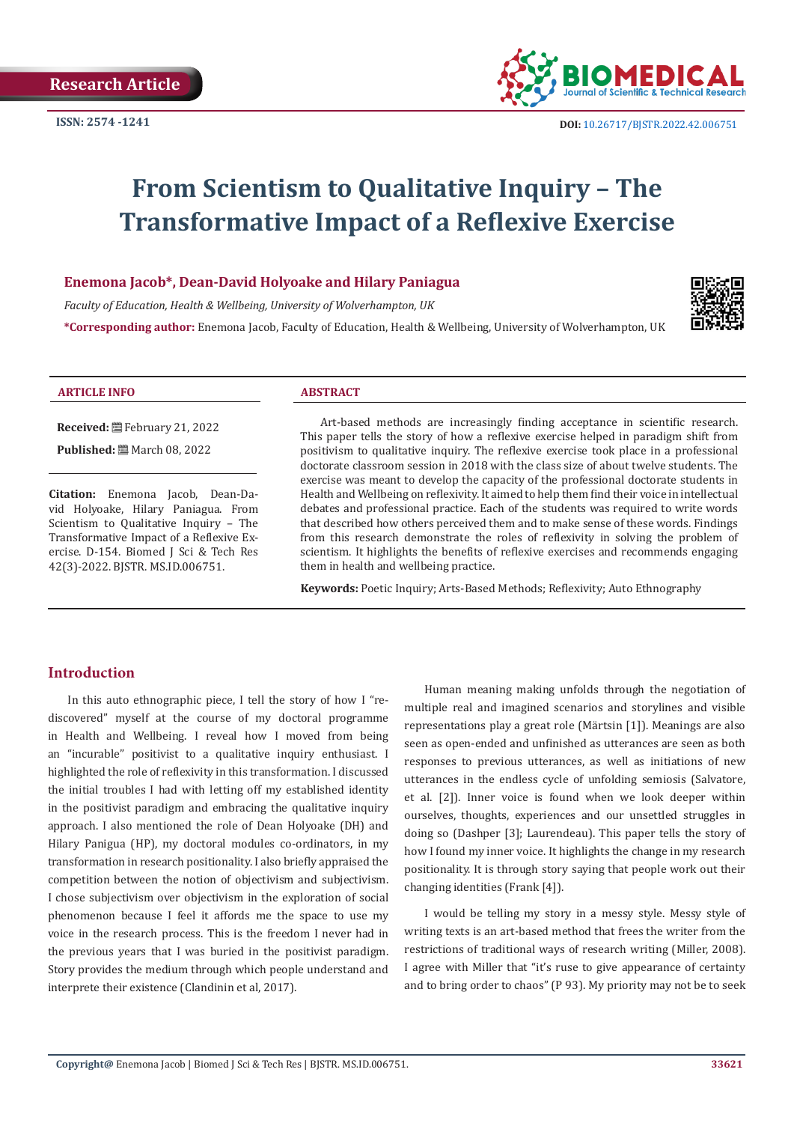

# **From Scientism to Qualitative Inquiry – The Transformative Impact of a Reflexive Exercise**

#### **Enemona Jacob\*, Dean-David Holyoake and Hilary Paniagua**

*Faculty of Education, Health & Wellbeing, University of Wolverhampton, UK* 

**\*Corresponding author:** Enemona Jacob, Faculty of Education, Health & Wellbeing, University of Wolverhampton, UK



#### **ARTICLE INFO ABSTRACT**

**Received:** February 21, 2022

**Published:** March 08, 2022

**Citation:** Enemona Jacob, Dean-David Holyoake, Hilary Paniagua. From Scientism to Qualitative Inquiry – The Transformative Impact of a Reflexive Exercise. D-154. Biomed J Sci & Tech Res 42(3)-2022. BJSTR. MS.ID.006751.

Art-based methods are increasingly finding acceptance in scientific research. This paper tells the story of how a reflexive exercise helped in paradigm shift from positivism to qualitative inquiry. The reflexive exercise took place in a professional doctorate classroom session in 2018 with the class size of about twelve students. The exercise was meant to develop the capacity of the professional doctorate students in Health and Wellbeing on reflexivity. It aimed to help them find their voice in intellectual debates and professional practice. Each of the students was required to write words that described how others perceived them and to make sense of these words. Findings from this research demonstrate the roles of reflexivity in solving the problem of scientism. It highlights the benefits of reflexive exercises and recommends engaging them in health and wellbeing practice.

**Keywords:** Poetic Inquiry; Arts-Based Methods; Reflexivity; Auto Ethnography

#### **Introduction**

In this auto ethnographic piece, I tell the story of how I "rediscovered" myself at the course of my doctoral programme in Health and Wellbeing. I reveal how I moved from being an "incurable" positivist to a qualitative inquiry enthusiast. I highlighted the role of reflexivity in this transformation. I discussed the initial troubles I had with letting off my established identity in the positivist paradigm and embracing the qualitative inquiry approach. I also mentioned the role of Dean Holyoake (DH) and Hilary Panigua (HP), my doctoral modules co-ordinators, in my transformation in research positionality. I also briefly appraised the competition between the notion of objectivism and subjectivism. I chose subjectivism over objectivism in the exploration of social phenomenon because I feel it affords me the space to use my voice in the research process. This is the freedom I never had in the previous years that I was buried in the positivist paradigm. Story provides the medium through which people understand and interprete their existence (Clandinin et al, 2017).

Human meaning making unfolds through the negotiation of multiple real and imagined scenarios and storylines and visible representations play a great role (Märtsin [1]). Meanings are also seen as open-ended and unfinished as utterances are seen as both responses to previous utterances, as well as initiations of new utterances in the endless cycle of unfolding semiosis (Salvatore, et al. [2]). Inner voice is found when we look deeper within ourselves, thoughts, experiences and our unsettled struggles in doing so (Dashper [3]; Laurendeau). This paper tells the story of how I found my inner voice. It highlights the change in my research positionality. It is through story saying that people work out their changing identities (Frank [4]).

I would be telling my story in a messy style. Messy style of writing texts is an art-based method that frees the writer from the restrictions of traditional ways of research writing (Miller, 2008). I agree with Miller that "it's ruse to give appearance of certainty and to bring order to chaos" (P 93). My priority may not be to seek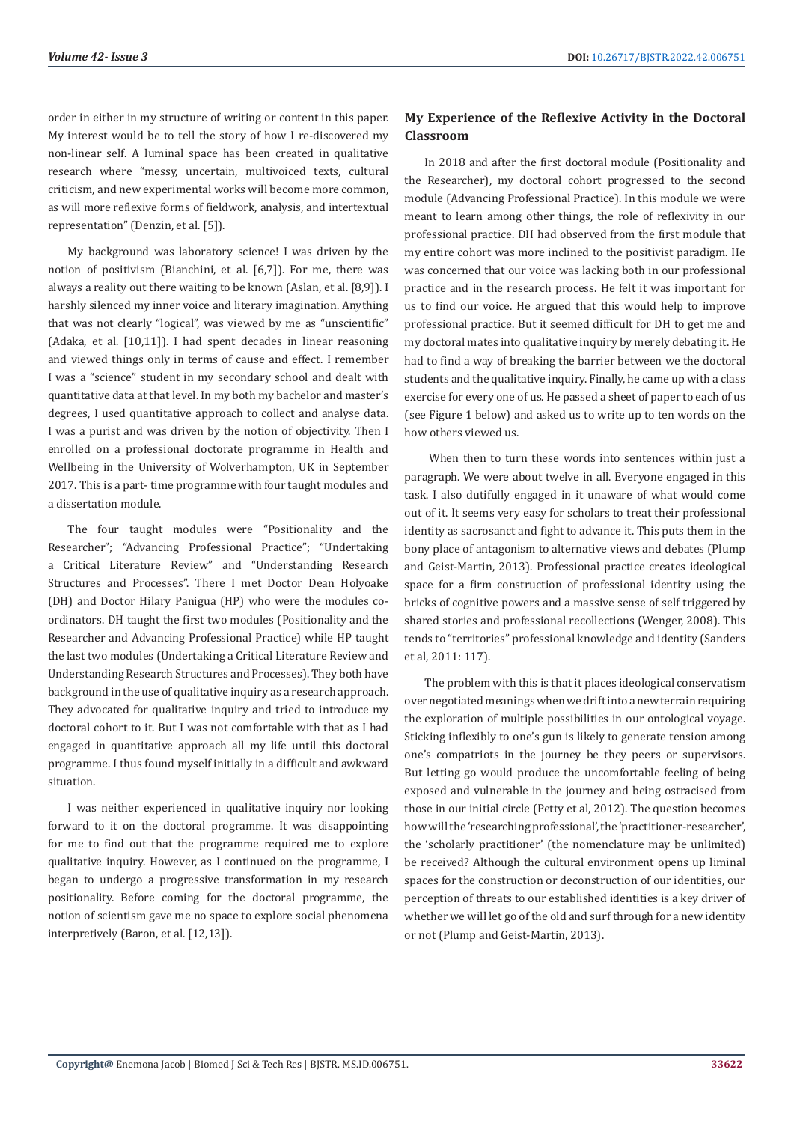order in either in my structure of writing or content in this paper. My interest would be to tell the story of how I re-discovered my non-linear self. A luminal space has been created in qualitative research where "messy, uncertain, multivoiced texts, cultural criticism, and new experimental works will become more common, as will more reflexive forms of fieldwork, analysis, and intertextual representation" (Denzin, et al. [5]).

My background was laboratory science! I was driven by the notion of positivism (Bianchini, et al. [6,7]). For me, there was always a reality out there waiting to be known (Aslan, et al. [8,9]). I harshly silenced my inner voice and literary imagination. Anything that was not clearly "logical", was viewed by me as "unscientific" (Adaka, et al. [10,11]). I had spent decades in linear reasoning and viewed things only in terms of cause and effect. I remember I was a "science" student in my secondary school and dealt with quantitative data at that level. In my both my bachelor and master's degrees, I used quantitative approach to collect and analyse data. I was a purist and was driven by the notion of objectivity. Then I enrolled on a professional doctorate programme in Health and Wellbeing in the University of Wolverhampton, UK in September 2017. This is a part- time programme with four taught modules and a dissertation module.

The four taught modules were "Positionality and the Researcher"; "Advancing Professional Practice"; "Undertaking a Critical Literature Review" and "Understanding Research Structures and Processes". There I met Doctor Dean Holyoake (DH) and Doctor Hilary Panigua (HP) who were the modules coordinators. DH taught the first two modules (Positionality and the Researcher and Advancing Professional Practice) while HP taught the last two modules (Undertaking a Critical Literature Review and Understanding Research Structures and Processes). They both have background in the use of qualitative inquiry as a research approach. They advocated for qualitative inquiry and tried to introduce my doctoral cohort to it. But I was not comfortable with that as I had engaged in quantitative approach all my life until this doctoral programme. I thus found myself initially in a difficult and awkward situation.

I was neither experienced in qualitative inquiry nor looking forward to it on the doctoral programme. It was disappointing for me to find out that the programme required me to explore qualitative inquiry. However, as I continued on the programme, I began to undergo a progressive transformation in my research positionality. Before coming for the doctoral programme, the notion of scientism gave me no space to explore social phenomena interpretively (Baron, et al. [12,13]).

# **My Experience of the Reflexive Activity in the Doctoral Classroom**

In 2018 and after the first doctoral module (Positionality and the Researcher), my doctoral cohort progressed to the second module (Advancing Professional Practice). In this module we were meant to learn among other things, the role of reflexivity in our professional practice. DH had observed from the first module that my entire cohort was more inclined to the positivist paradigm. He was concerned that our voice was lacking both in our professional practice and in the research process. He felt it was important for us to find our voice. He argued that this would help to improve professional practice. But it seemed difficult for DH to get me and my doctoral mates into qualitative inquiry by merely debating it. He had to find a way of breaking the barrier between we the doctoral students and the qualitative inquiry. Finally, he came up with a class exercise for every one of us. He passed a sheet of paper to each of us (see Figure 1 below) and asked us to write up to ten words on the how others viewed us.

 When then to turn these words into sentences within just a paragraph. We were about twelve in all. Everyone engaged in this task. I also dutifully engaged in it unaware of what would come out of it. It seems very easy for scholars to treat their professional identity as sacrosanct and fight to advance it. This puts them in the bony place of antagonism to alternative views and debates (Plump and Geist-Martin, 2013). Professional practice creates ideological space for a firm construction of professional identity using the bricks of cognitive powers and a massive sense of self triggered by shared stories and professional recollections (Wenger, 2008). This tends to "territories" professional knowledge and identity (Sanders et al, 2011: 117).

The problem with this is that it places ideological conservatism over negotiated meanings when we drift into a new terrain requiring the exploration of multiple possibilities in our ontological voyage. Sticking inflexibly to one's gun is likely to generate tension among one's compatriots in the journey be they peers or supervisors. But letting go would produce the uncomfortable feeling of being exposed and vulnerable in the journey and being ostracised from those in our initial circle (Petty et al, 2012). The question becomes how will the 'researching professional', the 'practitioner-researcher', the 'scholarly practitioner' (the nomenclature may be unlimited) be received? Although the cultural environment opens up liminal spaces for the construction or deconstruction of our identities, our perception of threats to our established identities is a key driver of whether we will let go of the old and surf through for a new identity or not (Plump and Geist-Martin, 2013).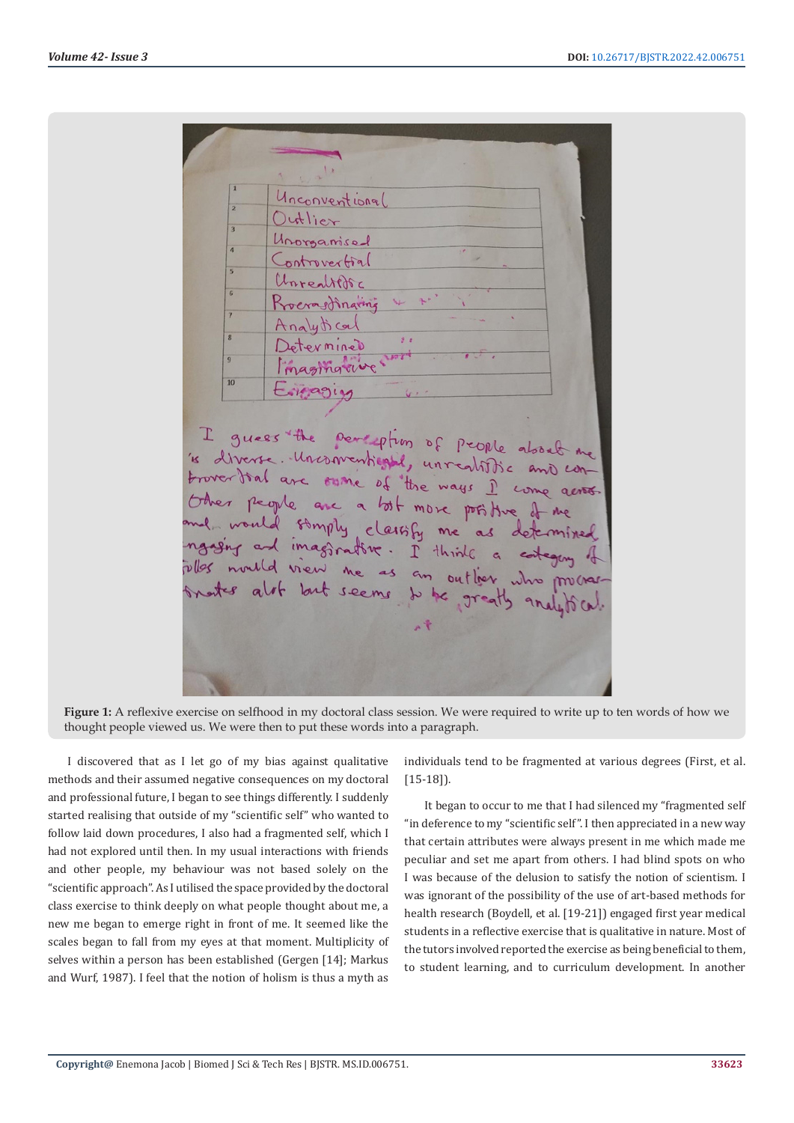Unconventional lutlier Unorganise ontrovertial reality eraemaring  $\mathbf{r}$ Determined magingrive guess the perception of people about me I is diverse. Unconventional, unrealitie and controver that are sume of the ways I come across. Other people are a lost more positive. me would somply classify me as determined would somply classify me as determined mould view me as an outlier.

**Figure 1:** A reflexive exercise on selfhood in my doctoral class session. We were required to write up to ten words of how we thought people viewed us. We were then to put these words into a paragraph.

I discovered that as I let go of my bias against qualitative methods and their assumed negative consequences on my doctoral and professional future, I began to see things differently. I suddenly started realising that outside of my "scientific self" who wanted to follow laid down procedures, I also had a fragmented self, which I had not explored until then. In my usual interactions with friends and other people, my behaviour was not based solely on the "scientific approach". As I utilised the space provided by the doctoral class exercise to think deeply on what people thought about me, a new me began to emerge right in front of me. It seemed like the scales began to fall from my eyes at that moment. Multiplicity of selves within a person has been established (Gergen [14]; Markus and Wurf, 1987). I feel that the notion of holism is thus a myth as

individuals tend to be fragmented at various degrees (First, et al. [15-18]).

It began to occur to me that I had silenced my "fragmented self "in deference to my "scientific self". I then appreciated in a new way that certain attributes were always present in me which made me peculiar and set me apart from others. I had blind spots on who I was because of the delusion to satisfy the notion of scientism. I was ignorant of the possibility of the use of art-based methods for health research (Boydell, et al. [19-21]) engaged first year medical students in a reflective exercise that is qualitative in nature. Most of the tutors involved reported the exercise as being beneficial to them, to student learning, and to curriculum development. In another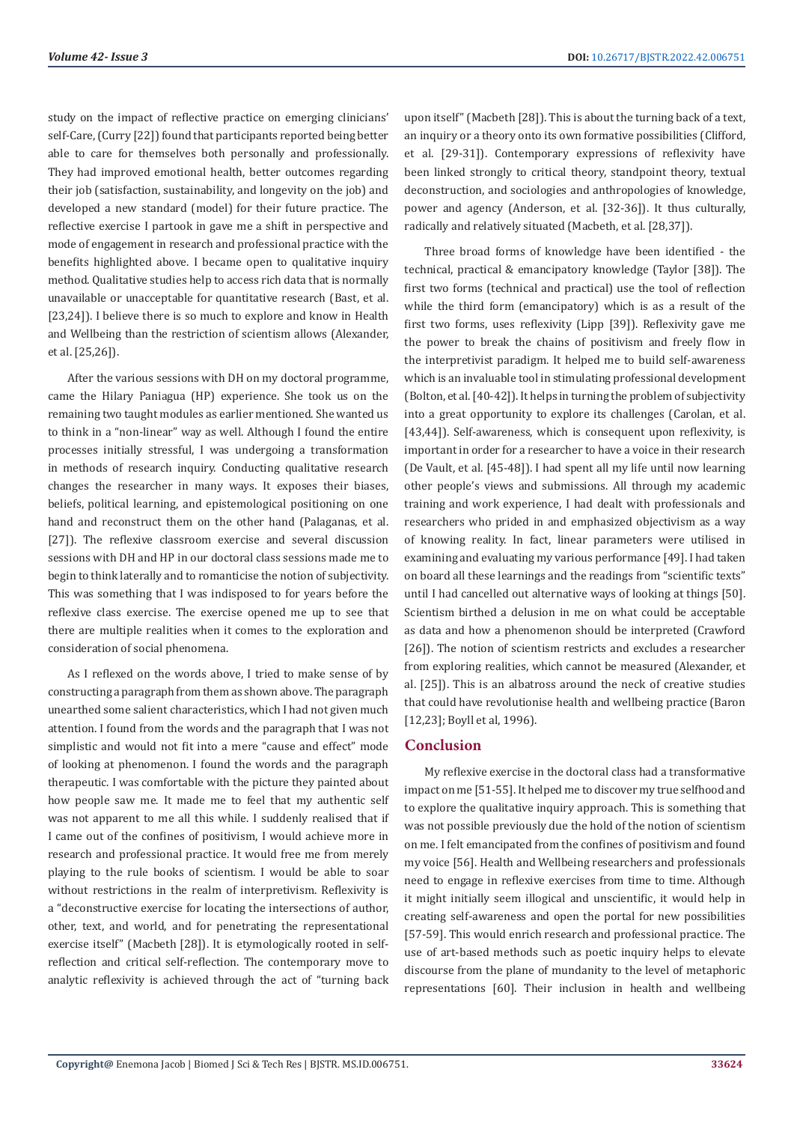study on the impact of reflective practice on emerging clinicians' self-Care, (Curry [22]) found that participants reported being better able to care for themselves both personally and professionally. They had improved emotional health, better outcomes regarding their job (satisfaction, sustainability, and longevity on the job) and developed a new standard (model) for their future practice. The reflective exercise I partook in gave me a shift in perspective and mode of engagement in research and professional practice with the benefits highlighted above. I became open to qualitative inquiry method. Qualitative studies help to access rich data that is normally unavailable or unacceptable for quantitative research (Bast, et al. [23,24]). I believe there is so much to explore and know in Health and Wellbeing than the restriction of scientism allows (Alexander, et al. [25,26]).

After the various sessions with DH on my doctoral programme, came the Hilary Paniagua (HP) experience. She took us on the remaining two taught modules as earlier mentioned. She wanted us to think in a "non-linear" way as well. Although I found the entire processes initially stressful, I was undergoing a transformation in methods of research inquiry. Conducting qualitative research changes the researcher in many ways. It exposes their biases, beliefs, political learning, and epistemological positioning on one hand and reconstruct them on the other hand (Palaganas, et al. [27]). The reflexive classroom exercise and several discussion sessions with DH and HP in our doctoral class sessions made me to begin to think laterally and to romanticise the notion of subjectivity. This was something that I was indisposed to for years before the reflexive class exercise. The exercise opened me up to see that there are multiple realities when it comes to the exploration and consideration of social phenomena.

As I reflexed on the words above, I tried to make sense of by constructing a paragraph from them as shown above. The paragraph unearthed some salient characteristics, which I had not given much attention. I found from the words and the paragraph that I was not simplistic and would not fit into a mere "cause and effect" mode of looking at phenomenon. I found the words and the paragraph therapeutic. I was comfortable with the picture they painted about how people saw me. It made me to feel that my authentic self was not apparent to me all this while. I suddenly realised that if I came out of the confines of positivism, I would achieve more in research and professional practice. It would free me from merely playing to the rule books of scientism. I would be able to soar without restrictions in the realm of interpretivism. Reflexivity is a "deconstructive exercise for locating the intersections of author, other, text, and world, and for penetrating the representational exercise itself" (Macbeth [28]). It is etymologically rooted in selfreflection and critical self-reflection. The contemporary move to analytic reflexivity is achieved through the act of "turning back upon itself" (Macbeth [28]). This is about the turning back of a text, an inquiry or a theory onto its own formative possibilities (Clifford, et al. [29-31]). Contemporary expressions of reflexivity have been linked strongly to critical theory, standpoint theory, textual deconstruction, and sociologies and anthropologies of knowledge, power and agency (Anderson, et al. [32-36]). It thus culturally, radically and relatively situated (Macbeth, et al. [28,37]).

Three broad forms of knowledge have been identified - the technical, practical & emancipatory knowledge (Taylor [38]). The first two forms (technical and practical) use the tool of reflection while the third form (emancipatory) which is as a result of the first two forms, uses reflexivity (Lipp [39]). Reflexivity gave me the power to break the chains of positivism and freely flow in the interpretivist paradigm. It helped me to build self-awareness which is an invaluable tool in stimulating professional development (Bolton, et al. [40-42]). It helps in turning the problem of subjectivity into a great opportunity to explore its challenges (Carolan, et al. [43,44]). Self-awareness, which is consequent upon reflexivity, is important in order for a researcher to have a voice in their research (De Vault, et al. [45-48]). I had spent all my life until now learning other people's views and submissions. All through my academic training and work experience, I had dealt with professionals and researchers who prided in and emphasized objectivism as a way of knowing reality. In fact, linear parameters were utilised in examining and evaluating my various performance [49]. I had taken on board all these learnings and the readings from "scientific texts" until I had cancelled out alternative ways of looking at things [50]. Scientism birthed a delusion in me on what could be acceptable as data and how a phenomenon should be interpreted (Crawford [26]). The notion of scientism restricts and excludes a researcher from exploring realities, which cannot be measured (Alexander, et al. [25]). This is an albatross around the neck of creative studies that could have revolutionise health and wellbeing practice (Baron [12,23]; Boyll et al, 1996).

# **Conclusion**

My reflexive exercise in the doctoral class had a transformative impact on me [51-55]. It helped me to discover my true selfhood and to explore the qualitative inquiry approach. This is something that was not possible previously due the hold of the notion of scientism on me. I felt emancipated from the confines of positivism and found my voice [56]. Health and Wellbeing researchers and professionals need to engage in reflexive exercises from time to time. Although it might initially seem illogical and unscientific, it would help in creating self-awareness and open the portal for new possibilities [57-59]. This would enrich research and professional practice. The use of art-based methods such as poetic inquiry helps to elevate discourse from the plane of mundanity to the level of metaphoric representations [60]. Their inclusion in health and wellbeing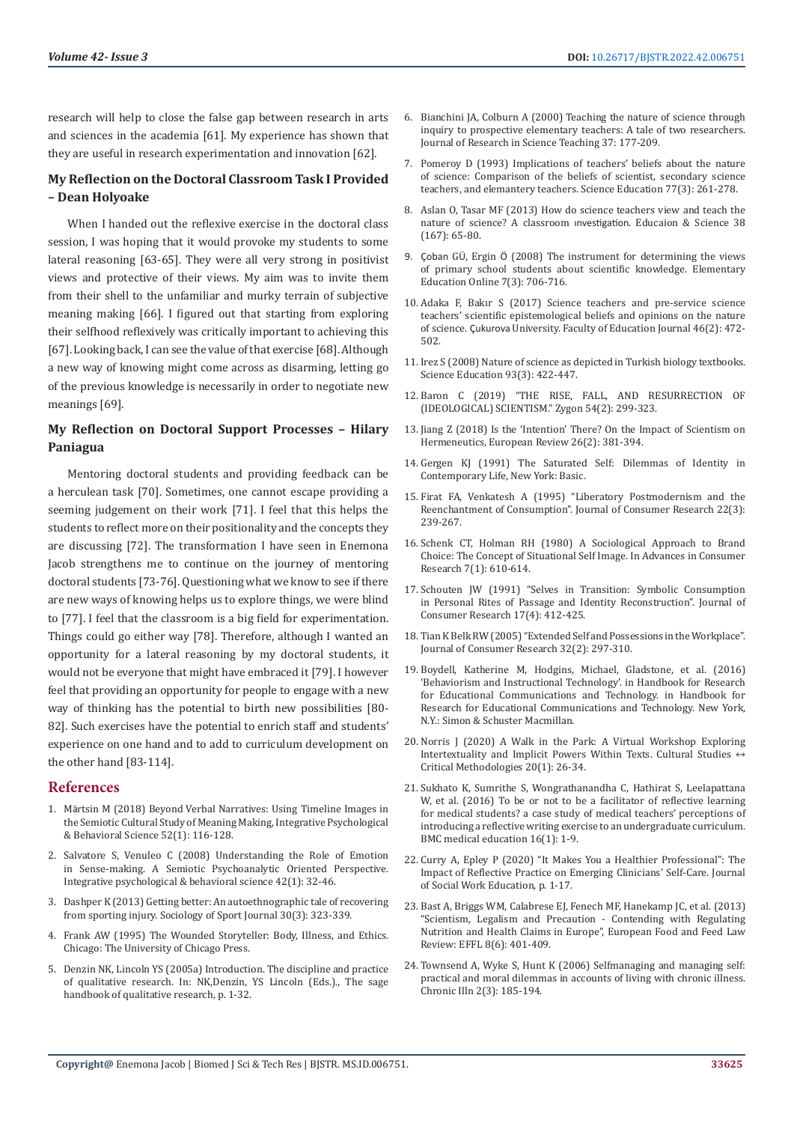research will help to close the false gap between research in arts and sciences in the academia [61]. My experience has shown that they are useful in research experimentation and innovation [62].

# **My Reflection on the Doctoral Classroom Task I Provided – Dean Holyoake**

When I handed out the reflexive exercise in the doctoral class session, I was hoping that it would provoke my students to some lateral reasoning [63-65]. They were all very strong in positivist views and protective of their views. My aim was to invite them from their shell to the unfamiliar and murky terrain of subjective meaning making [66]. I figured out that starting from exploring their selfhood reflexively was critically important to achieving this [67]. Looking back, I can see the value of that exercise [68]. Although a new way of knowing might come across as disarming, letting go of the previous knowledge is necessarily in order to negotiate new meanings [69].

# **My Reflection on Doctoral Support Processes – Hilary Paniagua**

Mentoring doctoral students and providing feedback can be a herculean task [70]. Sometimes, one cannot escape providing a seeming judgement on their work [71]. I feel that this helps the students to reflect more on their positionality and the concepts they are discussing [72]. The transformation I have seen in Enemona Jacob strengthens me to continue on the journey of mentoring doctoral students [73-76]. Questioning what we know to see if there are new ways of knowing helps us to explore things, we were blind to [77]. I feel that the classroom is a big field for experimentation. Things could go either way [78]. Therefore, although I wanted an opportunity for a lateral reasoning by my doctoral students, it would not be everyone that might have embraced it [79]. I however feel that providing an opportunity for people to engage with a new way of thinking has the potential to birth new possibilities [80- 82]. Such exercises have the potential to enrich staff and students' experience on one hand and to add to curriculum development on the other hand [83-114].

# **References**

- 1. Mä[rtsin M \(2018\) Beyond Verbal Narratives: Using Timeline Images in](https://link.springer.com/article/10.1007/s12124-017-9409-3)  [the Semiotic Cultural Study of Meaning Making, Integrative Psychological](https://link.springer.com/article/10.1007/s12124-017-9409-3)  [& Behavioral Science 52\(1\): 116-128.](https://link.springer.com/article/10.1007/s12124-017-9409-3)
- 2. [Salvatore S, Venuleo C \(2008\) Understanding the Role of Emotion](https://pubmed.ncbi.nlm.nih.gov/18293049/)  [in Sense-making. A Semiotic Psychoanalytic Oriented Perspective.](https://pubmed.ncbi.nlm.nih.gov/18293049/)  [Integrative psychological & behavioral science 42\(1\): 32-46.](https://pubmed.ncbi.nlm.nih.gov/18293049/)
- 3. [Dashper K \(2013\) Getting better: An autoethnographic tale of recovering](https://journals.humankinetics.com/view/journals/ssj/30/3/article-p323.xml)  [from sporting injury. Sociology of Sport Journal 30\(3\): 323-339.](https://journals.humankinetics.com/view/journals/ssj/30/3/article-p323.xml)
- 4. Frank AW (1995) The Wounded Storyteller: Body, Illness, and Ethics. Chicago: The University of Chicago Press.
- 5. Denzin NK, Lincoln YS (2005a) Introduction. The discipline and practice of qualitative research. In: NK,Denzin, YS Lincoln (Eds.)., The sage handbook of qualitative research, p. 1-32.
- 6. Bianchini JA, Colburn A (2000) Teaching the nature of science through inquiry to prospective elementary teachers: A tale of two researchers. Journal of Research in Science Teaching 37: 177-209.
- 7. [Pomeroy D \(1993\) Implications of teachers' beliefs about the nature](https://onlinelibrary.wiley.com/doi/10.1002/sce.3730770302) [of science: Comparison of the beliefs of scientist, secondary science](https://onlinelibrary.wiley.com/doi/10.1002/sce.3730770302) [teachers, and elemantery teachers. Science Education 77\(3\): 261-278.](https://onlinelibrary.wiley.com/doi/10.1002/sce.3730770302)
- 8. [Aslan O, Tasar MF \(2013\) How do science teachers view and teach the](http://egitimvebilim.ted.org.tr/index.php/EB/article/viewFile/1323/468) [nature of science? A classroom](http://egitimvebilim.ted.org.tr/index.php/EB/article/viewFile/1323/468) ınvestigation. Educaion & Science 38 [\(167\): 65-80.](http://egitimvebilim.ted.org.tr/index.php/EB/article/viewFile/1323/468)
- 9. Çoban GÜ, Ergin Ö (2008) The instrument for determining the views of primary school students about scientific knowledge. Elementary Education Online 7(3): 706-716.
- 10. [Adaka F, Bakır S \(2017\) Science teachers and pre-service science](https://www.proquest.com/openview/b6280815d23249f97bafc47858461e51/1?pq-origsite=gscholar&cbl=1386357) [teachers' scientific epistemological beliefs and opinions on the nature](https://www.proquest.com/openview/b6280815d23249f97bafc47858461e51/1?pq-origsite=gscholar&cbl=1386357) of science. Çukurova [University. Faculty of Education Journal 46\(2\): 472-](https://www.proquest.com/openview/b6280815d23249f97bafc47858461e51/1?pq-origsite=gscholar&cbl=1386357) [502.](https://www.proquest.com/openview/b6280815d23249f97bafc47858461e51/1?pq-origsite=gscholar&cbl=1386357)
- 11. Irez S (2008) Nature of science as depicted in Turkish biology textbooks. Science Education 93(3): 422-447.
- 12. [Baron C \(2019\) "THE RISE, FALL, AND RESURRECTION OF](https://onlinelibrary.wiley.com/doi/abs/10.1111/zygo.12504) [\(IDEOLOGICAL\) SCIENTISM." Zygon 54\(2\): 299-323.](https://onlinelibrary.wiley.com/doi/abs/10.1111/zygo.12504)
- 13. [Jiang Z \(2018\) Is the 'Intention' There? On the Impact of Scientism on](https://www.cambridge.org/core/journals/european-review/article/abs/is-the-intention-there-on-the-impact-of-scientism-on-hermeneutics/B11452F5805EEAAE3EF9CF7FECDF2BD6) [Hermeneutics, European Review 26\(2\): 381-394.](https://www.cambridge.org/core/journals/european-review/article/abs/is-the-intention-there-on-the-impact-of-scientism-on-hermeneutics/B11452F5805EEAAE3EF9CF7FECDF2BD6)
- 14. Gergen KJ (1991) The Saturated Self: Dilemmas of Identity in Contemporary Life, New York: Basic.
- 15. [Firat FA, Venkatesh A \(1995\) "Liberatory Postmodernism and the](https://www.jstor.org/stable/2489612) [Reenchantment of Consumption". Journal of Consumer Research 22\(3\):](https://www.jstor.org/stable/2489612) [239-267.](https://www.jstor.org/stable/2489612)
- 16. [Schenk CT, Holman RH \(1980\) A Sociological Approach to Brand](https://web.s.ebscohost.com/abstract?direct=true&profile=ehost&scope=site&authtype=crawler&jrnl=00989258&asa=Y&AN=6620911&h=smpz6KSNgind3aL%2f80fr%2fNE5cfQuubnOdfNqgFECsG%2fyd34tV%2fsy3QIeApsSoXhOYTS3nKOLkoi1U2SGVGaXMg%3d%3d&crl=f&resultNs=AdminWebAuth&resultLocal=ErrCrlNotAuth&crlhashurl=login.aspx%3fdirect%3dtrue%26profile%3dehost%26scope%3dsite%26authtype%3dcrawler%26jrnl%3d00989258%26asa%3dY%26AN%3d6620911) [Choice: The Concept of Situational Self Image. In Advances in Consumer](https://web.s.ebscohost.com/abstract?direct=true&profile=ehost&scope=site&authtype=crawler&jrnl=00989258&asa=Y&AN=6620911&h=smpz6KSNgind3aL%2f80fr%2fNE5cfQuubnOdfNqgFECsG%2fyd34tV%2fsy3QIeApsSoXhOYTS3nKOLkoi1U2SGVGaXMg%3d%3d&crl=f&resultNs=AdminWebAuth&resultLocal=ErrCrlNotAuth&crlhashurl=login.aspx%3fdirect%3dtrue%26profile%3dehost%26scope%3dsite%26authtype%3dcrawler%26jrnl%3d00989258%26asa%3dY%26AN%3d6620911) [Research 7\(1\): 610-614.](https://web.s.ebscohost.com/abstract?direct=true&profile=ehost&scope=site&authtype=crawler&jrnl=00989258&asa=Y&AN=6620911&h=smpz6KSNgind3aL%2f80fr%2fNE5cfQuubnOdfNqgFECsG%2fyd34tV%2fsy3QIeApsSoXhOYTS3nKOLkoi1U2SGVGaXMg%3d%3d&crl=f&resultNs=AdminWebAuth&resultLocal=ErrCrlNotAuth&crlhashurl=login.aspx%3fdirect%3dtrue%26profile%3dehost%26scope%3dsite%26authtype%3dcrawler%26jrnl%3d00989258%26asa%3dY%26AN%3d6620911)
- 17. [Schouten JW \(1991\) "Selves in Transition: Symbolic Consumption](https://www.jstor.org/stable/2626836) [in Personal Rites of Passage and Identity Reconstruction". Journal of](https://www.jstor.org/stable/2626836) [Consumer Research 17\(4\): 412-425.](https://www.jstor.org/stable/2626836)
- 18. [Tian K Belk RW \(2005\) "Extended Self and Possessions in the Workplace".](https://www.jstor.org/stable/10.1086/432239) [Journal of Consumer Research 32\(2\): 297-310.](https://www.jstor.org/stable/10.1086/432239)
- 19. Boydell, Katherine M, Hodgins, Michael, Gladstone, et al. (2016) 'Behaviorism and Instructional Technology'. in Handbook for Research for Educational Communications and Technology. in Handbook for Research for Educational Communications and Technology. New York, N.Y.: Simon & Schuster Macmillan.
- 20. [Norris J \(2020\) A Walk in the Park: A Virtual Workshop Exploring](https://journals.sagepub.com/doi/pdf/10.1177/1532708619885413) Intertextuality and Implicit Powers Within Texts. Cultural Studies  $\leftrightarrow$ [Critical Methodologies 20\(1\): 26-34.](https://journals.sagepub.com/doi/pdf/10.1177/1532708619885413)
- 21. [Sukhato K, Sumrithe S, Wongrathanandha C, Hathirat S, Leelapattana](https://bmcmededuc.biomedcentral.com/articles/10.1186/s12909-016-0624-2) [W, et al. \(2016\) To be or not to be a facilitator of reflective learning](https://bmcmededuc.biomedcentral.com/articles/10.1186/s12909-016-0624-2) [for medical students? a case study of medical teachers' perceptions of](https://bmcmededuc.biomedcentral.com/articles/10.1186/s12909-016-0624-2) [introducing a reflective writing exercise to an undergraduate curriculum.](https://bmcmededuc.biomedcentral.com/articles/10.1186/s12909-016-0624-2) [BMC medical education 16\(1\): 1-9.](https://bmcmededuc.biomedcentral.com/articles/10.1186/s12909-016-0624-2)
- 22. Curry A, Epley P (2020) "It Makes You a Healthier Professional": The Impact of Reflective Practice on Emerging Clinicians' Self-Care. Journal of Social Work Education, p. 1-17.
- 23. Bast A, Briggs WM, Calabrese EJ, Fenech MF, Hanekamp JC, et al. (2013) "Scientism, Legalism and Precaution - Contending with Regulating Nutrition and Health Claims in Europe", European Food and Feed Law Review: EFFL 8(6): 401-409.
- 24. [Townsend A, Wyke S, Hunt K \(2006\) Selfmanaging and managing self:](https://pubmed.ncbi.nlm.nih.gov/17007695/) [practical and moral dilemmas in accounts of living with chronic illness.](https://pubmed.ncbi.nlm.nih.gov/17007695/) [Chronic Illn 2\(3\): 185-194.](https://pubmed.ncbi.nlm.nih.gov/17007695/)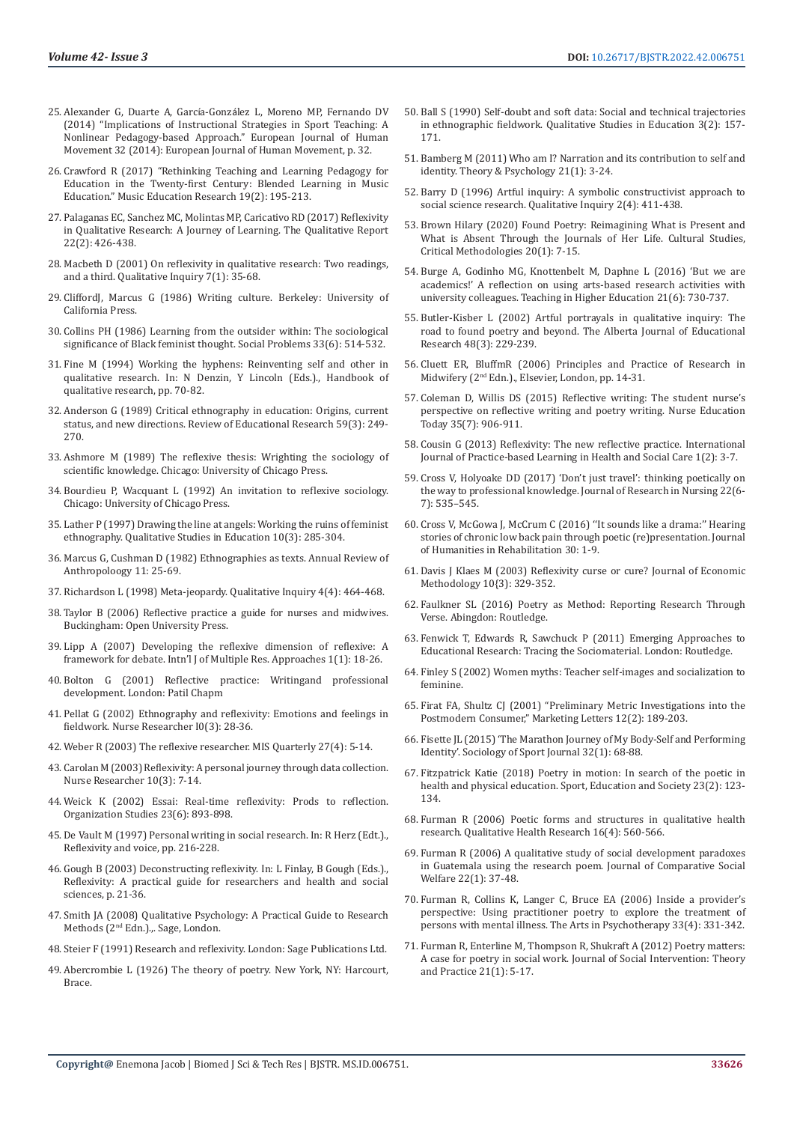- 25. Alexander G, Duarte A, García-Gonzá[lez L, Moreno MP, Fernando DV](https://www.eurjhm.com/index.php/eurjhm/article/view/321)  [\(2014\) "Implications of Instructional Strategies in Sport Teaching: A](https://www.eurjhm.com/index.php/eurjhm/article/view/321)  [Nonlinear Pedagogy-based Approach." European Journal of Human](https://www.eurjhm.com/index.php/eurjhm/article/view/321)  [Movement 32 \(2014\): European Journal of Human Movement, p. 32.](https://www.eurjhm.com/index.php/eurjhm/article/view/321)
- 26. [Crawford R \(2017\) "Rethinking Teaching and Learning Pedagogy for](https://www.tandfonline.com/doi/abs/10.1080/14613808.2016.1202223)  [Education in the Twenty-first Century: Blended Learning in Music](https://www.tandfonline.com/doi/abs/10.1080/14613808.2016.1202223)  [Education." Music Education Research 19\(2\): 195-213.](https://www.tandfonline.com/doi/abs/10.1080/14613808.2016.1202223)
- 27. [Palaganas EC, Sanchez MC, Molintas MP, Caricativo RD \(2017\) Reflexivity](https://nsuworks.nova.edu/tqr/vol22/iss2/5/)  [in Qualitative Research: A Journey of Learning. The Qualitative Report](https://nsuworks.nova.edu/tqr/vol22/iss2/5/)  [22\(2\): 426-438.](https://nsuworks.nova.edu/tqr/vol22/iss2/5/)
- 28. [Macbeth D \(2001\) On reflexivity in qualitative research: Two readings,](https://journals.sagepub.com/doi/10.1177/107780040100700103)  [and a third. Qualitative Inquiry 7\(1\): 35-68.](https://journals.sagepub.com/doi/10.1177/107780040100700103)
- 29. CliffordJ, Marcus G (1986) Writing culture. Berkeley: University of California Press.
- 30. [Collins PH \(1986\) Learning from the outsider within: The sociological](https://academic.oup.com/socpro/article/33/6/s14/1610242)  [significance of Black feminist thought. Social Problems 33\(6\): 514-532.](https://academic.oup.com/socpro/article/33/6/s14/1610242)
- 31. [Fine M \(1994\) Working the hyphens: Reinventing self and other in](https://psycnet.apa.org/record/1994-98625-003)  [qualitative research. In: N Denzin, Y Lincoln \(Eds.\)., Handbook of](https://psycnet.apa.org/record/1994-98625-003)  [qualitative research, pp. 70-82.](https://psycnet.apa.org/record/1994-98625-003)
- 32. [Anderson G \(1989\) Critical ethnography in education: Origins, current](https://journals.sagepub.com/doi/10.3102/00346543059003249)  [status, and new directions. Review of Educational Research 59\(3\): 249-](https://journals.sagepub.com/doi/10.3102/00346543059003249) [270.](https://journals.sagepub.com/doi/10.3102/00346543059003249)
- 33. [Ashmore M \(1989\) The reflexive thesis: Wrighting the sociology of](https://philpapers.org/rec/ASHTRT)  [scientific knowledge. Chicago: University of Chicago Press.](https://philpapers.org/rec/ASHTRT)
- 34. Bourdieu P, Wacquant L (1992) An invitation to reflexive sociology. Chicago: University of Chicago Press.
- 35. [Lather P \(1997\) Drawing the line at angels: Working the ruins of feminist](https://www.tandfonline.com/doi/abs/10.1080/095183997237124)  [ethnography. Qualitative Studies in Education 10\(3\): 285-304.](https://www.tandfonline.com/doi/abs/10.1080/095183997237124)
- 36. [Marcus G, Cushman D \(1982\) Ethnographies as texts. Annual Review of](https://www.jstor.org/stable/2155775)  [Anthropoloogy 11: 25-69.](https://www.jstor.org/stable/2155775)
- 37. [Richardson L \(1998\) Meta-jeopardy. Qualitative Inquiry 4\(4\): 464-468.](https://journals.sagepub.com/doi/abs/10.1177/107780049800400403?journalCode=qixa)
- 38. Taylor B (2006) Reflective practice a guide for nurses and midwives. Buckingham: Open University Press.
- 39. [Lipp A \(2007\) Developing the reflexive dimension of reflexive: A](https://www.tandfonline.com/doi/abs/10.5172/mra.455.1.1.18)  [framework for debate. Intn'l J of Multiple Res. Approaches 1\(1\): 18-26.](https://www.tandfonline.com/doi/abs/10.5172/mra.455.1.1.18)
- 40. Bolton G (2001) Reflective practice: Writingand professional development. London: Patil Chapm
- 41. Pellat G (2002) Ethnography and reflexivity: Emotions and feelings in fieldwork. Nurse Researcher I0(3): 28-36.
- 42. Weber R (2003) The reflexive researcher. MIS Quarterly 27(4): 5-14.
- 43. [Carolan M \(2003\) Reflexivity: A personal journey through data collection.](https://pubmed.ncbi.nlm.nih.gov/12739414/)  [Nurse Researcher 10\(3\): 7-14.](https://pubmed.ncbi.nlm.nih.gov/12739414/)
- 44. [Weick K \(2002\) Essai: Real-time reflexivity: Prods to reflection.](https://journals.sagepub.com/doi/10.1177/0170840602236011)  [Organization Studies 23\(6\): 893-898.](https://journals.sagepub.com/doi/10.1177/0170840602236011)
- 45. De Vault M (1997) Personal writing in social research. In: R Herz (Edt.)., Reflexivity and voice, pp. 216-228.
- 46. Gough B (2003) Deconstructing reflexivity. In: L Finlay, B Gough (Eds.)., Reflexivity: A practical guide for researchers and health and social sciences, p. 21-36.
- 47. Smith JA (2008) Qualitative Psychology: A Practical Guide to Research Methods (2nd Edn.).,. Sage, London.
- 48. Steier F (1991) Research and reflexivity. London: Sage Publications Ltd.
- 49. Abercrombie L (1926) The theory of poetry. New York, NY: Harcourt, Brace.
- 50. [Ball S \(1990\) Self-doubt and soft data: Social and technical trajectories](https://www.tandfonline.com/doi/abs/10.1080/0951839900030204) [in ethnographic fieldwork. Qualitative Studies in Education 3\(2\): 157-](https://www.tandfonline.com/doi/abs/10.1080/0951839900030204) [171.](https://www.tandfonline.com/doi/abs/10.1080/0951839900030204)
- 51. Bamberg M (2011) Who am I? Narration and its contribution to self and identity. Theory & Psychology 21(1): 3-24.
- 52. [Barry D \(1996\) Artful inquiry: A symbolic constructivist approach to](https://journals.sagepub.com/doi/10.1177/107780049600200403) [social science research. Qualitative Inquiry 2\(4\): 411-438.](https://journals.sagepub.com/doi/10.1177/107780049600200403)
- 53. Brown Hilary (2020) Found Poetry: Reimagining What is Present and What is Absent Through the Journals of Her Life. Cultural Studies, Critical Methodologies 20(1): 7-15.
- 54. [Burge A, Godinho MG, Knottenbelt M, Daphne L \(2016\) 'But we are](https://www.tandfonline.com/doi/abs/10.1080/13562517.2016.1184139?journalCode=cthe20) [academics!' A reflection on using arts-based research activities with](https://www.tandfonline.com/doi/abs/10.1080/13562517.2016.1184139?journalCode=cthe20) [university colleagues. Teaching in Higher Education 21\(6\): 730-737.](https://www.tandfonline.com/doi/abs/10.1080/13562517.2016.1184139?journalCode=cthe20)
- 55. [Butler-Kisber L \(2002\) Artful portrayals in qualitative inquiry: The](C://Users/Admin/Downloads/admin,+AJER_48(3)_229-239.pdf) [road to found poetry and beyond. The Alberta Journal of Educational](C://Users/Admin/Downloads/admin,+AJER_48(3)_229-239.pdf) [Research 48\(3\): 229-239.](C://Users/Admin/Downloads/admin,+AJER_48(3)_229-239.pdf)
- 56. Cluett ER, BluffmR (2006) Principles and Practice of Research in Midwifery (2nd Edn.)., Elsevier, London, pp. 14-31.
- 57. [Coleman D, Willis DS \(2015\) Reflective writing: The student nurse's](https://pubmed.ncbi.nlm.nih.gov/25802097/) [perspective on reflective writing and poetry writing. Nurse Education](https://pubmed.ncbi.nlm.nih.gov/25802097/) [Today 35\(7\): 906-911.](https://pubmed.ncbi.nlm.nih.gov/25802097/)
- 58. [Cousin G \(2013\) Reflexivity: The new reflective practice. International](https://publications.coventry.ac.uk/index.php/pblh/article/view/272/Cous1-2) [Journal of Practice-based Learning in Health and Social Care 1\(2\): 3-7.](https://publications.coventry.ac.uk/index.php/pblh/article/view/272/Cous1-2)
- 59. [Cross V, Holyoake DD \(2017\) 'Don't just travel': thinking poetically on](https://journals.sagepub.com/doi/10.1177/1744987117727329) [the way to professional knowledge. Journal of Research in Nursing 22\(6-](https://journals.sagepub.com/doi/10.1177/1744987117727329) [7\): 535–545.](https://journals.sagepub.com/doi/10.1177/1744987117727329)
- 60. [Cross V, McGowa J, McCrum C \(2016\) ''It sounds like a drama:'' Hearing](http://oro.open.ac.uk/48025/) [stories of chronic low back pain through poetic \(re\)presentation. Journal](http://oro.open.ac.uk/48025/) [of Humanities in Rehabilitation 30: 1-9.](http://oro.open.ac.uk/48025/)
- 61. [Davis J Klaes M \(2003\) Reflexivity curse or cure? Journal of Economic](https://www.tandfonline.com/doi/abs/10.1080/1350178032000110882) [Methodology 10{3\): 329-352.](https://www.tandfonline.com/doi/abs/10.1080/1350178032000110882)
- 62. Faulkner SL (2016) Poetry as Method: Reporting Research Through Verse. Abingdon: Routledge.
- 63. [Fenwick T, Edwards R, Sawchuck P \(2011\) Emerging Approaches to](https://www.voced.edu.au/content/ngv%3A52682) [Educational Research: Tracing the Sociomaterial. London: Routledge.](https://www.voced.edu.au/content/ngv%3A52682)
- 64. Finley S (2002) Women myths: Teacher self-images and socialization to feminine.
- 65. [Firat FA, Shultz CJ \(2001\) "Preliminary Metric Investigations into the](https://www.jstor.org/stable/40216597) [Postmodern Consumer," Marketing Letters 12\(2\): 189-203.](https://www.jstor.org/stable/40216597)
- 66. [Fisette JL \(2015\) 'The Marathon Journey of My Body-Self and Performing](https://journals.humankinetics.com/view/journals/ssj/32/1/article-p68.xml) [Identity'. Sociology of Sport Journal 32\(1\): 68-88.](https://journals.humankinetics.com/view/journals/ssj/32/1/article-p68.xml)
- 67. [Fitzpatrick Katie \(2018\) Poetry in motion: In search of the poetic in](https://www.tandfonline.com/doi/abs/10.1080/13573322.2016.1155149?journalCode=cses20) [health and physical education. Sport, Education and Society 23\(2\): 123-](https://www.tandfonline.com/doi/abs/10.1080/13573322.2016.1155149?journalCode=cses20) [134.](https://www.tandfonline.com/doi/abs/10.1080/13573322.2016.1155149?journalCode=cses20)
- 68. [Furman R \(2006\) Poetic forms and structures in qualitative health](https://pubmed.ncbi.nlm.nih.gov/16513997/) [research. Qualitative Health Research 16\(4\): 560-566.](https://pubmed.ncbi.nlm.nih.gov/16513997/)
- 69. [Furman R \(2006\) A qualitative study of social development paradoxes](https://www.tandfonline.com/doi/abs/10.1080/17486830500523037) [in Guatemala using the research poem. Journal of Comparative Social](https://www.tandfonline.com/doi/abs/10.1080/17486830500523037) [Welfare 22\(1\): 37-48.](https://www.tandfonline.com/doi/abs/10.1080/17486830500523037)
- 70. [Furman R, Collins K, Langer C, Bruce EA \(2006\) Inside a provider's](https://www.sciencedirect.com/science/article/abs/pii/S0197455606000451) [perspective: Using practitioner poetry to explore the treatment of](https://www.sciencedirect.com/science/article/abs/pii/S0197455606000451) [persons with mental illness. The Arts in Psychotherapy 33\(4\): 331-342.](https://www.sciencedirect.com/science/article/abs/pii/S0197455606000451)
- 71. [Furman R, Enterline M, Thompson R, Shukraft A \(2012\) Poetry matters:](https://www.journalsi.org/articles/abstract/10.18352/jsi.283/) [A case for poetry in social work. Journal of Social Intervention: Theory](https://www.journalsi.org/articles/abstract/10.18352/jsi.283/) [and Practice 21\(1\): 5-17.](https://www.journalsi.org/articles/abstract/10.18352/jsi.283/)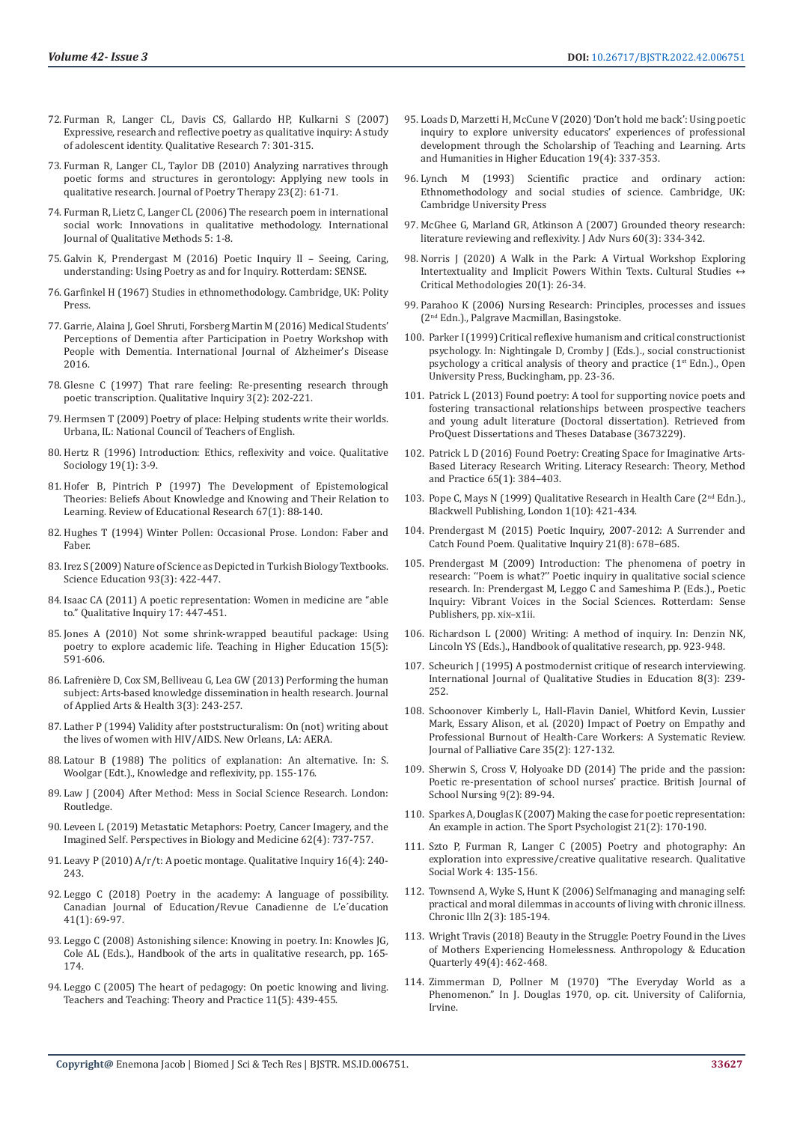- 72. [Furman R, Langer CL, Davis CS, Gallardo HP, Kulkarni S \(2007\)](https://journals.sagepub.com/doi/10.1177/1468794107078511)  [Expressive, research and reflective poetry as qualitative inquiry: A study](https://journals.sagepub.com/doi/10.1177/1468794107078511)  [of adolescent identity. Qualitative Research 7: 301-315.](https://journals.sagepub.com/doi/10.1177/1468794107078511)
- 73. [Furman R, Langer CL, Taylor DB \(2010\) Analyzing narratives through](https://www.tandfonline.com/doi/abs/10.1080/08893675.2010.482809)  [poetic forms and structures in gerontology: Applying new tools in](https://www.tandfonline.com/doi/abs/10.1080/08893675.2010.482809)  [qualitative research. Journal of Poetry Therapy 23\(2\): 61-71.](https://www.tandfonline.com/doi/abs/10.1080/08893675.2010.482809)
- 74. [Furman R, Lietz C, Langer CL \(2006\) The research poem in international](https://journals.sagepub.com/doi/10.1177/160940690600500305)  [social work: Innovations in qualitative methodology. International](https://journals.sagepub.com/doi/10.1177/160940690600500305)  [Journal of Qualitative Methods 5: 1-8.](https://journals.sagepub.com/doi/10.1177/160940690600500305)
- 75. Galvin K, Prendergast M (2016) Poetic Inquiry II Seeing, Caring, understanding: Using Poetry as and for Inquiry. Rotterdam: SENSE.
- 76. Garfinkel H (1967) Studies in ethnomethodology. Cambridge, UK: Polity Press.
- 77. [Garrie, Alaina J, Goel Shruti, Forsberg Martin M \(2016\) Medical Students'](https://pubmed.ncbi.nlm.nih.gov/26977333/)  [Perceptions of Dementia after Participation in Poetry Workshop with](https://pubmed.ncbi.nlm.nih.gov/26977333/)  [People with Dementia. International Journal of Alzheimer's Disease](https://pubmed.ncbi.nlm.nih.gov/26977333/)  [2016.](https://pubmed.ncbi.nlm.nih.gov/26977333/)
- 78. [Glesne C \(1997\) That rare feeling: Re-presenting research through](https://journals.sagepub.com/doi/10.1177/107780049700300204)  [poetic transcription. Qualitative Inquiry 3\(2\): 202-221](https://journals.sagepub.com/doi/10.1177/107780049700300204).
- 79. Hermsen T (2009) Poetry of place: Helping students write their worlds. Urbana, IL: National Council of Teachers of English.
- 80. [Hertz R \(1996\) Introduction: Ethics, reflexivity and voice. Qualitative](https://link.springer.com/article/10.1007/BF02393245)  [Sociology 19\(1\): 3-9.](https://link.springer.com/article/10.1007/BF02393245)
- 81. [Hofer B, Pintrich P \(1997\) The Development of Epistemological](https://psycnet.apa.org/record/1997-04459-003)  [Theories: Beliefs About Knowledge and Knowing and Their Relation to](https://psycnet.apa.org/record/1997-04459-003)  [Learning. Review of Educational Research 67\(1\): 88-140.](https://psycnet.apa.org/record/1997-04459-003)
- 82. Hughes T (1994) Winter Pollen: Occasional Prose. London: Faber and Faber.
- 83. [Irez S \(2009\) Nature of Science as Depicted in Turkish Biology Textbooks.](https://onlinelibrary.wiley.com/doi/10.1002/sce.20305)  [Science Education 93\(3\): 422-447.](https://onlinelibrary.wiley.com/doi/10.1002/sce.20305)
- 84. [Isaac CA \(2011\) A poetic representation: Women in medicine are "able](https://journals.sagepub.com/doi/abs/10.1177/1077800411405430?journalCode=qixa)  [to." Qualitative Inquiry 17: 447-451.](https://journals.sagepub.com/doi/abs/10.1177/1077800411405430?journalCode=qixa)
- 85. [Jones A \(2010\) Not some shrink-wrapped beautiful package: Using](https://www.tandfonline.com/doi/abs/10.1080/13562517.2010.491902)  [poetry to explore academic life. Teaching in Higher Education 15\(5\):](https://www.tandfonline.com/doi/abs/10.1080/13562517.2010.491902)  [591-606.](https://www.tandfonline.com/doi/abs/10.1080/13562517.2010.491902)
- 86. Lafreniè[re D, Cox SM, Belliveau G, Lea GW \(2013\) Performing the human](https://www.ingentaconnect.com/content/intellect/jaah/2013/00000003/00000003/art00002)  [subject: Arts-based knowledge dissemination in health research. Journal](https://www.ingentaconnect.com/content/intellect/jaah/2013/00000003/00000003/art00002)  [of Applied Arts & Health 3\(3\): 243-257.](https://www.ingentaconnect.com/content/intellect/jaah/2013/00000003/00000003/art00002)
- 87. Lather P (1994) Validity after poststructuralism: On (not) writing about the lives of women with HIV/AIDS. New Orleans, LA: AERA.
- 88. [Latour B \(1988\) The politics of explanation: An alternative. In: S.](http://www.bruno-latour.fr/sites/default/files/32-EXPLANATION-WOOLGAR-GB.pdf)  [Woolgar \(Edt.\)., Knowledge and reflexivity, pp. 155-176.](http://www.bruno-latour.fr/sites/default/files/32-EXPLANATION-WOOLGAR-GB.pdf)
- 89. [Law J \(2004\) After Method: Mess in Social Science Research. London:](https://www.routledge.com/After-Method-Mess-in-Social-Science-Research/Law/p/book/9780415341752)  [Routledge.](https://www.routledge.com/After-Method-Mess-in-Social-Science-Research/Law/p/book/9780415341752)
- 90. [Leveen L \(2019\) Metastatic Metaphors: Poetry, Cancer Imagery, and the](https://pubmed.ncbi.nlm.nih.gov/31761804/)  [Imagined Self. Perspectives in Biology and Medicine 62\(4\): 737-757.](https://pubmed.ncbi.nlm.nih.gov/31761804/)
- 91. [Leavy P \(2010\) A/r/t: A poetic montage. Qualitative Inquiry 16\(4\): 240-](https://journals.sagepub.com/doi/10.1177/1077800409354067) [243.](https://journals.sagepub.com/doi/10.1177/1077800409354067)
- 92. [Leggo C \(2018\) Poetry in the academy: A language of possibility.](https://www.jstor.org/stable/90019780)  [Canadian Journal of Education/Revue Canadienne de L'e´ducation](https://www.jstor.org/stable/90019780)  [41\(1\): 69-97.](https://www.jstor.org/stable/90019780)
- 93. Leggo C (2008) Astonishing silence: Knowing in poetry. In: Knowles JG, Cole AL (Eds.)., Handbook of the arts in qualitative research, pp. 165- 174.
- 94. [Leggo C \(2005\) The heart of pedagogy: On poetic knowing and living.](https://www.tandfonline.com/doi/abs/10.1080/13450600500238436)  [Teachers and Teaching: Theory and Practice 11\(5\): 439-455.](https://www.tandfonline.com/doi/abs/10.1080/13450600500238436)
- 95. [Loads D, Marzetti H, McCune V \(2020\) 'Don't hold me back': Using poetic](https://journals.sagepub.com/doi/abs/10.1177/1474022219846621) [inquiry to explore university educators' experiences of professional](https://journals.sagepub.com/doi/abs/10.1177/1474022219846621) [development through the Scholarship of Teaching and Learning. Arts](https://journals.sagepub.com/doi/abs/10.1177/1474022219846621) [and Humanities in Higher Education 19\(4\): 337-353.](https://journals.sagepub.com/doi/abs/10.1177/1474022219846621)
- 96. Lynch M (1993) Scientific practice and ordinary action: Ethnomethodology and social studies of science. Cambridge, UK: Cambridge University Press
- 97. [McGhee G, Marland GR, Atkinson A \(2007\) Grounded theory research:](https://pubmed.ncbi.nlm.nih.gov/17908129/) [literature reviewing and reflexivity. J Adv Nurs 60\(3\): 334-342.](https://pubmed.ncbi.nlm.nih.gov/17908129/)
- 98. [Norris J \(2020\) A Walk in the Park: A Virtual Workshop Exploring](https://journals.sagepub.com/doi/10.1177/1532708619885413) Intertextuality and Implicit Powers Within Texts. Cultural Studies  $\leftrightarrow$ [Critical Methodologies 20\(1\): 26-34.](https://journals.sagepub.com/doi/10.1177/1532708619885413)
- 99. [Parahoo K \(2006\) Nursing Research: Principles, processes and issues](https://pure.ulster.ac.uk/en/publications/nursing-research-principles-process-and-issues-second-edition-3) [\(2nd Edn.\)., Palgrave Macmillan, Basingstoke](https://pure.ulster.ac.uk/en/publications/nursing-research-principles-process-and-issues-second-edition-3).
- 100. Parker I (1999) Critical reflexive humanism and critical constructionist psychology. In: Nightingale D, Cromby J (Eds.)., social constructionist psychology a critical analysis of theory and practice  $(1^{st}$  Edn.)., Open University Press, Buckingham, pp. 23-36.
- 101. Patrick L (2013) Found poetry: A tool for supporting novice poets and fostering transactional relationships between prospective teachers and young adult literature (Doctoral dissertation). Retrieved from ProQuest Dissertations and Theses Database (3673229).
- 102. [Patrick L D \(2016\) Found Poetry: Creating Space for Imaginative Arts-](https://journals.sagepub.com/doi/abs/10.1177/2381336916661530)[Based Literacy Research Writing. Literacy Research: Theory, Method](https://journals.sagepub.com/doi/abs/10.1177/2381336916661530) [and Practice 65\(1\): 384–403.](https://journals.sagepub.com/doi/abs/10.1177/2381336916661530)
- 103. Pope C, Mays N (1999) Qualitative Research in Health Care (2<sup>nd</sup> Edn.)., Blackwell Publishing, London 1(10): 421-434.
- 104. [Prendergast M \(2015\) Poetic Inquiry, 2007-2012: A Surrender and](https://journals.sagepub.com/doi/10.1177/1077800414563806) [Catch Found Poem. Qualitative Inquiry 21\(8\): 678–685.](https://journals.sagepub.com/doi/10.1177/1077800414563806)
- 105. Prendergast M (2009) Introduction: The phenomena of poetry in research: ''Poem is what?'' Poetic inquiry in qualitative social science research. In: Prendergast M, Leggo C and Sameshima P. (Eds.)., Poetic Inquiry: Vibrant Voices in the Social Sciences. Rotterdam: Sense Publishers, pp. xix–x1ii.
- 106. Richardson L (2000) Writing: A method of inquiry. In: Denzin NK, Lincoln YS (Eds.)., Handbook of qualitative research, pp. 923-948.
- 107. [Scheurich J \(1995\) A postmodernist critique of research interviewing.](https://www.tandfonline.com/doi/abs/10.1080/0951839950080303) [International Journal of Qualitative Studies in Education 8\(3\): 239-](https://www.tandfonline.com/doi/abs/10.1080/0951839950080303) [252.](https://www.tandfonline.com/doi/abs/10.1080/0951839950080303)
- 108. [Schoonover Kimberly L, Hall-Flavin Daniel, Whitford Kevin, Lussier](https://pubmed.ncbi.nlm.nih.gov/31354038/) [Mark, Essary Alison, et al. \(2020\) Impact of Poetry on Empathy and](https://pubmed.ncbi.nlm.nih.gov/31354038/) [Professional Burnout of Health-Care Workers: A Systematic Review.](https://pubmed.ncbi.nlm.nih.gov/31354038/) [Journal of Palliative Care 35\(2\): 127-132.](https://pubmed.ncbi.nlm.nih.gov/31354038/)
- 109. [Sherwin S, Cross V, Holyoake DD \(2014\) The pride and the passion:](https://www.magonlinelibrary.com/doi/abs/10.12968/bjsn.2014.9.2.89) [Poetic re-presentation of school nurses' practice. British Journal of](https://www.magonlinelibrary.com/doi/abs/10.12968/bjsn.2014.9.2.89) [School Nursing 9\(2\): 89-94.](https://www.magonlinelibrary.com/doi/abs/10.12968/bjsn.2014.9.2.89)
- 110. [Sparkes A, Douglas K \(2007\) Making the case for poetic representation:](https://journals.humankinetics.com/view/journals/tsp/21/2/article-p170.xml) [An example in action. The Sport Psychologist 21\(2\): 170-190.](https://journals.humankinetics.com/view/journals/tsp/21/2/article-p170.xml)
- 111. [Szto P, Furman R, Langer C \(2005\) Poetry and photography: An](https://journals.sagepub.com/doi/10.1177/1473325005052390) [exploration into expressive/creative qualitative research. Qualitative](https://journals.sagepub.com/doi/10.1177/1473325005052390) [Social Work 4: 135-156.](https://journals.sagepub.com/doi/10.1177/1473325005052390)
- 112. [Townsend A, Wyke S, Hunt K \(2006\) Selfmanaging and managing self:](https://pubmed.ncbi.nlm.nih.gov/17007695/) [practical and moral dilemmas in accounts of living with chronic illness.](https://pubmed.ncbi.nlm.nih.gov/17007695/) [Chronic Illn 2\(3\): 185-194.](https://pubmed.ncbi.nlm.nih.gov/17007695/)
- 113. [Wright Travis \(2018\) Beauty in the Struggle: Poetry Found in the Lives](https://anthrosource.onlinelibrary.wiley.com/doi/abs/10.1111/aeq.12262?af=R) [of Mothers Experiencing Homelessness. Anthropology & Education](https://anthrosource.onlinelibrary.wiley.com/doi/abs/10.1111/aeq.12262?af=R) [Quarterly 49\(4\): 462-468.](https://anthrosource.onlinelibrary.wiley.com/doi/abs/10.1111/aeq.12262?af=R)
- 114. Zimmerman D, Pollner M (1970) "The Everyday World as a Phenomenon." In J. Douglas 1970, op. cit. University of California, Irvine.